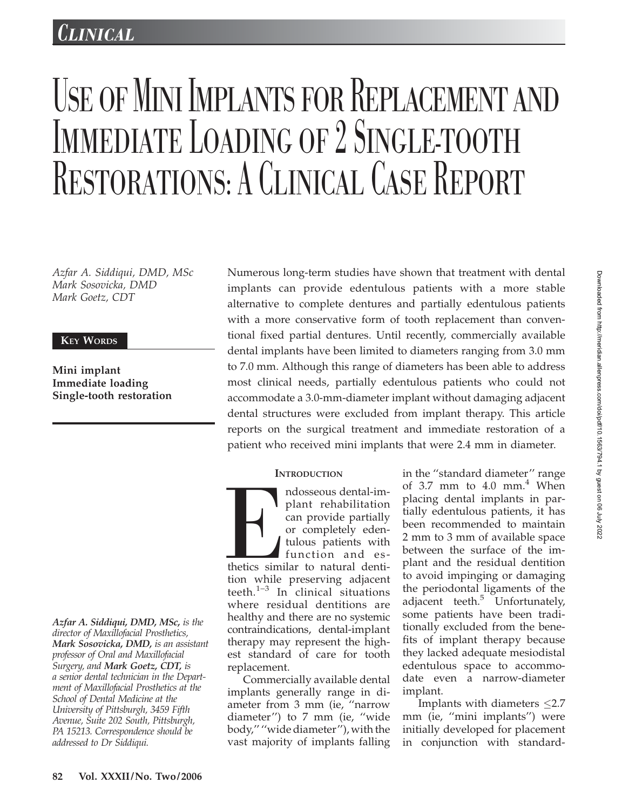# *LINICAL*

# USE OF MINI IMPLANTS FOR REPLACEMENT AND IMMEDIATE LOADING OF 2 SINGLE-TOOTH RESTORATIONS: A CLINICAL CASE REPORT

Azfar A. Siddiqui, DMD, MSc Mark Sosovicka, DMD Mark Goetz, CDT

# KEY WORDS

Mini implant Immediate loading Single-tooth restoration

Azfar A. Siddiqui, DMD, MSc, is the director of Maxillofacial Prosthetics, Mark Sosovicka, DMD, is an assistant professor of Oral and Maxillofacial Surgery, and Mark Goetz, CDT, is a senior dental technician in the Department of Maxillofacial Prosthetics at the School of Dental Medicine at the University of Pittsburgh, 3459 Fifth Avenue, Suite 202 South, Pittsburgh, PA 15213. Correspondence should be addressed to Dr Siddiqui.

Numerous long-term studies have shown that treatment with dental implants can provide edentulous patients with a more stable alternative to complete dentures and partially edentulous patients with a more conservative form of tooth replacement than conventional fixed partial dentures. Until recently, commercially available dental implants have been limited to diameters ranging from 3.0 mm to 7.0 mm. Although this range of diameters has been able to address most clinical needs, partially edentulous patients who could not accommodate a 3.0-mm-diameter implant without damaging adjacent dental structures were excluded from implant therapy. This article reports on the surgical treatment and immediate restoration of a patient who received mini implants that were 2.4 mm in diameter.

# **INTRODUCTION**

Mosseous dental-im-<br>
plant rehabilitation<br>
can provide partially<br>
or completely eden-<br>
tulous patients with<br>
function and es-<br>
thetics similar to natural denti-<br>
tion while preserving adjacent ndosseous dental-implant rehabilitation can provide partially or completely edentulous patients with function and esthetics similar to natural dentiteeth. $1-3$  In clinical situations where residual dentitions are healthy and there are no systemic contraindications, dental-implant therapy may represent the highest standard of care for tooth replacement.

Commercially available dental implants generally range in diameter from 3 mm (ie, ''narrow diameter'') to 7 mm (ie, ''wide body,'' ''wide diameter''), with the vast majority of implants falling

in the ''standard diameter'' range of 3.7 mm to 4.0 mm. $\frac{4}{3}$  When placing dental implants in partially edentulous patients, it has been recommended to maintain 2 mm to 3 mm of available space between the surface of the implant and the residual dentition to avoid impinging or damaging the periodontal ligaments of the adjacent teeth.<sup>5</sup> Unfortunately, some patients have been traditionally excluded from the benefits of implant therapy because they lacked adequate mesiodistal edentulous space to accommodate even a narrow-diameter implant.

Implants with diameters  $\leq$ 2.7 mm (ie, ''mini implants'') were initially developed for placement in conjunction with standard-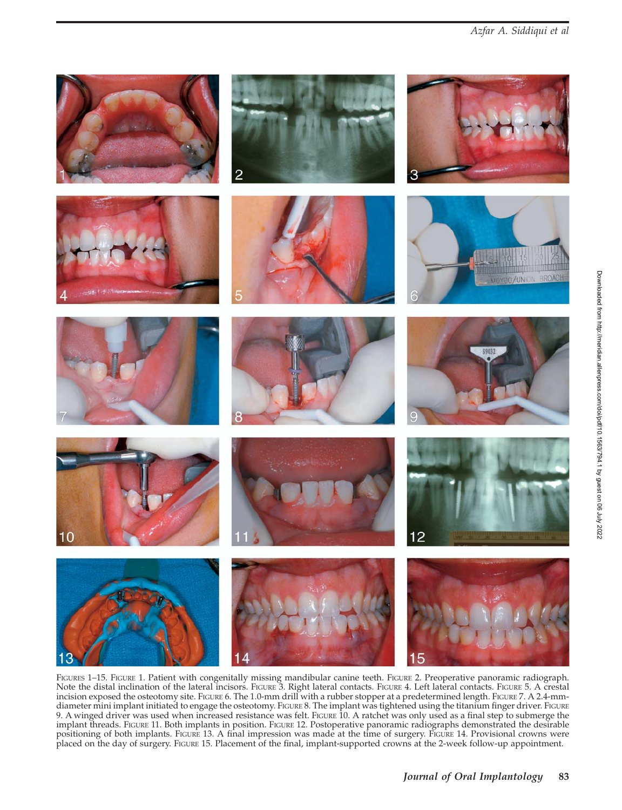

FIGURES 1-15. FIGURE 1. Patient with congenitally missing mandibular canine teeth. FIGURE 2. Preoperative panoramic radiograph. Note the distal inclination of the lateral incisors. FIGURE 3. Right lateral contacts. FIGURE 4. Left lateral contacts. FIGURE 5. A crestal incision exposed the osteotomy site. FIGURE 6. The 1.0-mm drill with a rubber stopper at a predetermined length. FIGURE 7. A 2.4-mmdiameter mini implant initiated to engage the osteotomy. FIGURE 8. The implant was tightened using the titanium finger driver. FIGURE 9. A winged driver was used when increased resistance was felt. FIGURE 10. A ratchet was only used as a final step to submerge the implant threads. FIGURE 11. Both implants in position. FIGURE 12. Postoperative panoramic radiographs demonstrated the desirable positioning of both implants. FIGURE 13. A final impression was made at the time of surgery. FIGURE 14. Provisional crowns were placed on the day of surgery. FIGURE 15. Placement of the final, implant-supported crowns at the 2-week follow-up appointment.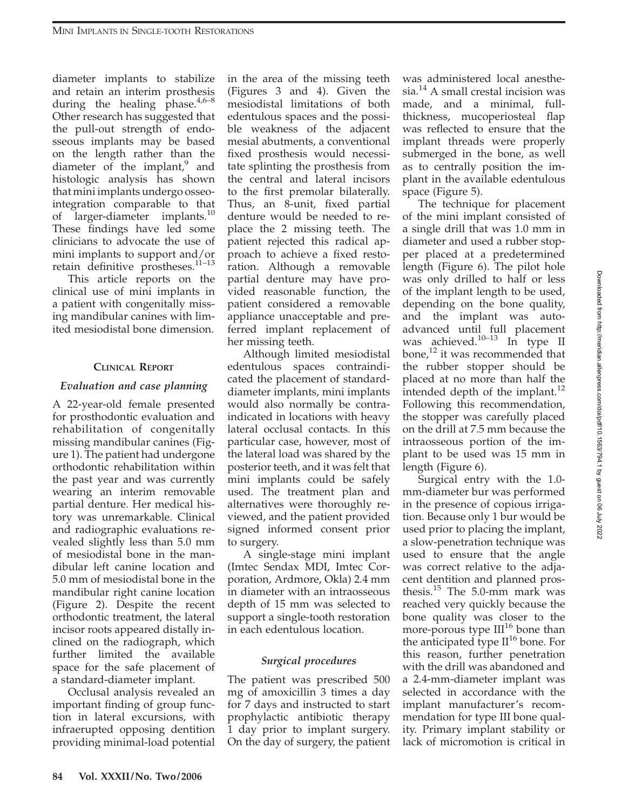diameter implants to stabilize and retain an interim prosthesis during the healing phase. $4,6-8$ Other research has suggested that the pull-out strength of endosseous implants may be based on the length rather than the diameter of the implant, $9$  and histologic analysis has shown that mini implants undergo osseointegration comparable to that of larger-diameter implants.<sup>10</sup> These findings have led some clinicians to advocate the use of mini implants to support and/or retain definitive prostheses. $11-13$ 

This article reports on the clinical use of mini implants in a patient with congenitally missing mandibular canines with limited mesiodistal bone dimension.

#### CLINICAL REPORT

#### Evaluation and case planning

A 22-year-old female presented for prosthodontic evaluation and rehabilitation of congenitally missing mandibular canines (Figure 1). The patient had undergone orthodontic rehabilitation within the past year and was currently wearing an interim removable partial denture. Her medical history was unremarkable. Clinical and radiographic evaluations revealed slightly less than 5.0 mm of mesiodistal bone in the mandibular left canine location and 5.0 mm of mesiodistal bone in the mandibular right canine location (Figure 2). Despite the recent orthodontic treatment, the lateral incisor roots appeared distally inclined on the radiograph, which further limited the available space for the safe placement of a standard-diameter implant.

Occlusal analysis revealed an important finding of group function in lateral excursions, with infraerupted opposing dentition providing minimal-load potential

in the area of the missing teeth (Figures 3 and 4). Given the mesiodistal limitations of both edentulous spaces and the possible weakness of the adjacent mesial abutments, a conventional fixed prosthesis would necessitate splinting the prosthesis from the central and lateral incisors to the first premolar bilaterally. Thus, an 8-unit, fixed partial denture would be needed to replace the 2 missing teeth. The patient rejected this radical approach to achieve a fixed restoration. Although a removable partial denture may have provided reasonable function, the patient considered a removable appliance unacceptable and preferred implant replacement of her missing teeth.

Although limited mesiodistal edentulous spaces contraindicated the placement of standarddiameter implants, mini implants would also normally be contraindicated in locations with heavy lateral occlusal contacts. In this particular case, however, most of the lateral load was shared by the posterior teeth, and it was felt that mini implants could be safely used. The treatment plan and alternatives were thoroughly reviewed, and the patient provided signed informed consent prior to surgery.

A single-stage mini implant (Imtec Sendax MDI, Imtec Corporation, Ardmore, Okla) 2.4 mm in diameter with an intraosseous depth of 15 mm was selected to support a single-tooth restoration in each edentulous location.

#### Surgical procedures

The patient was prescribed 500 mg of amoxicillin 3 times a day for 7 days and instructed to start prophylactic antibiotic therapy 1 day prior to implant surgery. On the day of surgery, the patient was administered local anesthesia.<sup>14</sup> A small crestal incision was made, and a minimal, fullthickness, mucoperiosteal flap was reflected to ensure that the implant threads were properly submerged in the bone, as well as to centrally position the implant in the available edentulous space (Figure 5).

The technique for placement of the mini implant consisted of a single drill that was 1.0 mm in diameter and used a rubber stopper placed at a predetermined length (Figure 6). The pilot hole was only drilled to half or less of the implant length to be used, depending on the bone quality, and the implant was autoadvanced until full placement was achieved. $10-13$  In type II bone, $^{12}$  it was recommended that the rubber stopper should be placed at no more than half the intended depth of the implant.<sup>12</sup> Following this recommendation, the stopper was carefully placed on the drill at 7.5 mm because the intraosseous portion of the implant to be used was 15 mm in length (Figure 6).

Surgical entry with the 1.0 mm-diameter bur was performed in the presence of copious irrigation. Because only 1 bur would be used prior to placing the implant, a slow-penetration technique was used to ensure that the angle was correct relative to the adjacent dentition and planned prosthesis.<sup>15</sup> The 5.0-mm mark was reached very quickly because the bone quality was closer to the more-porous type  $III^{16}$  bone than the anticipated type  $II^{16}$  bone. For this reason, further penetration with the drill was abandoned and a 2.4-mm-diameter implant was selected in accordance with the implant manufacturer's recommendation for type III bone quality. Primary implant stability or lack of micromotion is critical in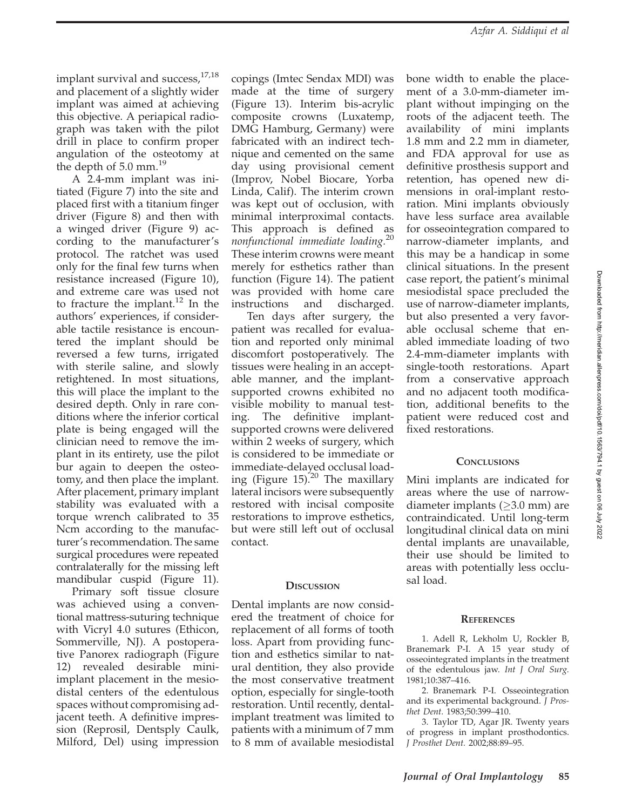implant survival and success,<sup>17,18</sup> and placement of a slightly wider implant was aimed at achieving this objective. A periapical radiograph was taken with the pilot drill in place to confirm proper angulation of the osteotomy at the depth of 5.0 mm.<sup>19</sup>

A 2.4-mm implant was initiated (Figure 7) into the site and placed first with a titanium finger driver (Figure 8) and then with a winged driver (Figure 9) according to the manufacturer's protocol. The ratchet was used only for the final few turns when resistance increased (Figure 10), and extreme care was used not to fracture the implant.<sup>12</sup> In the authors' experiences, if considerable tactile resistance is encountered the implant should be reversed a few turns, irrigated with sterile saline, and slowly retightened. In most situations, this will place the implant to the desired depth. Only in rare conditions where the inferior cortical plate is being engaged will the clinician need to remove the implant in its entirety, use the pilot bur again to deepen the osteotomy, and then place the implant. After placement, primary implant stability was evaluated with a torque wrench calibrated to 35 Ncm according to the manufacturer's recommendation. The same surgical procedures were repeated contralaterally for the missing left mandibular cuspid (Figure 11).

Primary soft tissue closure was achieved using a conventional mattress-suturing technique with Vicryl 4.0 sutures (Ethicon, Sommerville, NJ). A postoperative Panorex radiograph (Figure 12) revealed desirable miniimplant placement in the mesiodistal centers of the edentulous spaces without compromising adjacent teeth. A definitive impression (Reprosil, Dentsply Caulk, Milford, Del) using impression copings (Imtec Sendax MDI) was made at the time of surgery (Figure 13). Interim bis-acrylic composite crowns (Luxatemp, DMG Hamburg, Germany) were fabricated with an indirect technique and cemented on the same day using provisional cement (Improv, Nobel Biocare, Yorba Linda, Calif). The interim crown was kept out of occlusion, with minimal interproximal contacts. This approach is defined as nonfunctional immediate loading.<sup>20</sup> These interim crowns were meant merely for esthetics rather than function (Figure 14). The patient was provided with home care instructions and discharged.

Ten days after surgery, the patient was recalled for evaluation and reported only minimal discomfort postoperatively. The tissues were healing in an acceptable manner, and the implantsupported crowns exhibited no visible mobility to manual testing. The definitive implantsupported crowns were delivered within 2 weeks of surgery, which is considered to be immediate or immediate-delayed occlusal loading (Figure 15).<sup>20</sup> The maxillary lateral incisors were subsequently restored with incisal composite restorations to improve esthetics, but were still left out of occlusal contact.

# **DISCUSSION**

Dental implants are now considered the treatment of choice for replacement of all forms of tooth loss. Apart from providing function and esthetics similar to natural dentition, they also provide the most conservative treatment option, especially for single-tooth restoration. Until recently, dentalimplant treatment was limited to patients with a minimum of 7 mm to 8 mm of available mesiodistal

bone width to enable the placement of a 3.0-mm-diameter implant without impinging on the roots of the adjacent teeth. The availability of mini implants 1.8 mm and 2.2 mm in diameter, and FDA approval for use as definitive prosthesis support and retention, has opened new dimensions in oral-implant restoration. Mini implants obviously have less surface area available for osseointegration compared to narrow-diameter implants, and this may be a handicap in some clinical situations. In the present case report, the patient's minimal mesiodistal space precluded the use of narrow-diameter implants, but also presented a very favorable occlusal scheme that enabled immediate loading of two 2.4-mm-diameter implants with single-tooth restorations. Apart from a conservative approach and no adjacent tooth modification, additional benefits to the patient were reduced cost and fixed restorations.

# **CONCLUSIONS**

Mini implants are indicated for areas where the use of narrowdiameter implants ( $\geq$ 3.0 mm) are contraindicated. Until long-term longitudinal clinical data on mini dental implants are unavailable, their use should be limited to areas with potentially less occlusal load.

# **REFERENCES**

1. Adell R, Lekholm U, Rockler B, Branemark P-I. A 15 year study of osseointegrated implants in the treatment of the edentulous jaw. Int J Oral Surg. 1981;10:387–416.

2. Branemark P-I. Osseointegration and its experimental background. J Prosthet Dent. 1983;50:399–410.

3. Taylor TD, Agar JR. Twenty years of progress in implant prosthodontics. J Prosthet Dent. 2002;88:89–95.